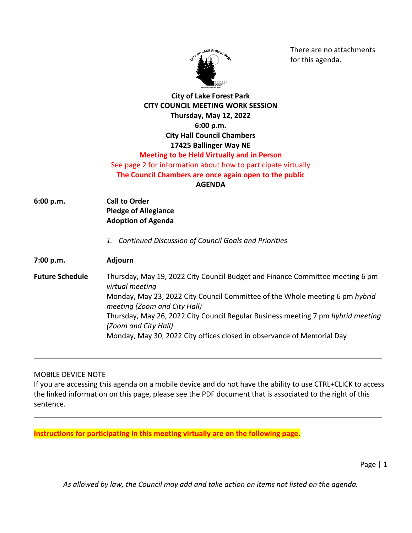

There are no attachments for this agenda.

## **City of Lake Forest Park CITY COUNCIL MEETING WORK SESSION Thursday, May 12, 2022 6:00 p.m. City Hall Council Chambers 17425 Ballinger Way NE Meeting to be Held Virtually and in Person** See page 2 for information about how to participate virtually

**The Council Chambers are once again open to the public**

**AGENDA**

- **6:00 p.m. Call to Order Pledge of Allegiance Adoption of Agenda**
	- *1. Continued Discussion of Council Goals and Priorities*

**7:00 p.m. Adjourn**

**Future Schedule** Thursday, May 19, 2022 City Council Budget and Finance Committee meeting 6 pm *virtual meeting* Monday, May 23, 2022 City Council Committee of the Whole meeting 6 pm *hybrid meeting (Zoom and City Hall)* Thursday, May 26, 2022 City Council Regular Business meeting 7 pm *hybrid meeting (Zoom and City Hall)* Monday, May 30, 2022 City offices closed in observance of Memorial Day

MOBILE DEVICE NOTE

If you are accessing this agenda on a mobile device and do not have the ability to use CTRL+CLICK to access the linked information on this page, please see the PDF document that is associated to the right of this sentence.

**Instructions for participating in this meeting virtually are on the following page.**

Page | 1

*As allowed by law, the Council may add and take action on items not listed on the agenda.*